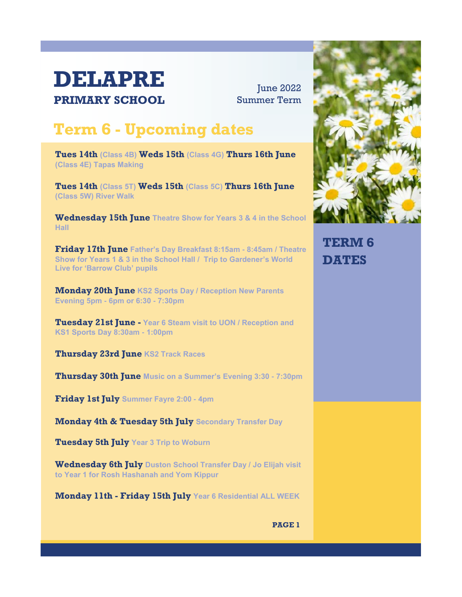## **DELAPRE PRIMARY SCHOOL**

**June 2022** Summer Term

## **Term 6 - Upcoming dates**

**Tues 14th (Class 4B) Weds 15th (Class 4G) Thurs 16th June (Class 4E) Tapas Making**

**Tues 14th (Class 5T) Weds 15th (Class 5C) Thurs 16th June (Class 5W) River Walk**

**Wednesday 15th June Theatre Show for Years 3 & 4 in the School Hall**

**Friday 17th June Father's Day Breakfast 8:15am - 8:45am / Theatre Show for Years 1 & 3 in the School Hall / Trip to Gardener's World Live for 'Barrow Club' pupils**

**Monday 20th June KS2 Sports Day / Reception New Parents Evening 5pm - 6pm or 6:30 - 7:30pm**

**Tuesday 21st June - Year 6 Steam visit to UON / Reception and KS1 Sports Day 8:30am - 1:00pm**

**Thursday 23rd June KS2 Track Races**

**Thursday 30th June Music on a Summer's Evening 3:30 - 7:30pm**

**Friday 1st July Summer Fayre 2:00 - 4pm**

**Monday 4th & Tuesday 5th July Secondary Transfer Day**

**Tuesday 5th July Year 3 Trip to Woburn**

**Wednesday 6th July Duston School Transfer Day / Jo Elijah visit to Year 1 for Rosh Hashanah and Yom Kippur**

**Monday 11th - Friday 15th July Year 6 Residential ALL WEEK**



**TERM 6 DATES**

**PAGE 1**